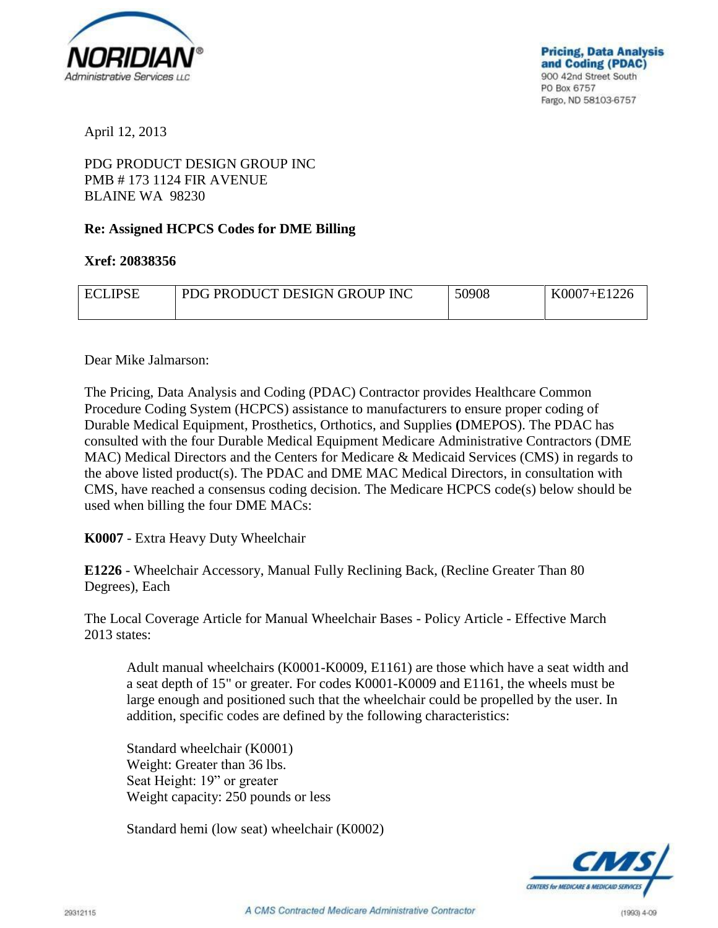

April 12, 2013

## PDG PRODUCT DESIGN GROUP INC PMB # 173 1124 FIR AVENUE BLAINE WA 98230

## **Re: Assigned HCPCS Codes for DME Billing**

## **Xref: 20838356**

| <b>ECLIPSE</b> | PDG PRODUCT DESIGN GROUP INC | 50908 | K0007+E1226 |
|----------------|------------------------------|-------|-------------|
|                |                              |       |             |

## Dear Mike Jalmarson:

The Pricing, Data Analysis and Coding (PDAC) Contractor provides Healthcare Common Procedure Coding System (HCPCS) assistance to manufacturers to ensure proper coding of Durable Medical Equipment, Prosthetics, Orthotics, and Supplies **(**DMEPOS). The PDAC has consulted with the four Durable Medical Equipment Medicare Administrative Contractors (DME MAC) Medical Directors and the Centers for Medicare & Medicaid Services (CMS) in regards to the above listed product(s). The PDAC and DME MAC Medical Directors, in consultation with CMS, have reached a consensus coding decision. The Medicare HCPCS code(s) below should be used when billing the four DME MACs:

**K0007** - Extra Heavy Duty Wheelchair

**E1226** - Wheelchair Accessory, Manual Fully Reclining Back, (Recline Greater Than 80 Degrees), Each

The Local Coverage Article for Manual Wheelchair Bases - Policy Article - Effective March 2013 states:

Adult manual wheelchairs (K0001-K0009, E1161) are those which have a seat width and a seat depth of 15" or greater. For codes K0001-K0009 and E1161, the wheels must be large enough and positioned such that the wheelchair could be propelled by the user. In addition, specific codes are defined by the following characteristics:

Standard wheelchair (K0001) Weight: Greater than 36 lbs. Seat Height: 19" or greater Weight capacity: 250 pounds or less

Standard hemi (low seat) wheelchair (K0002)

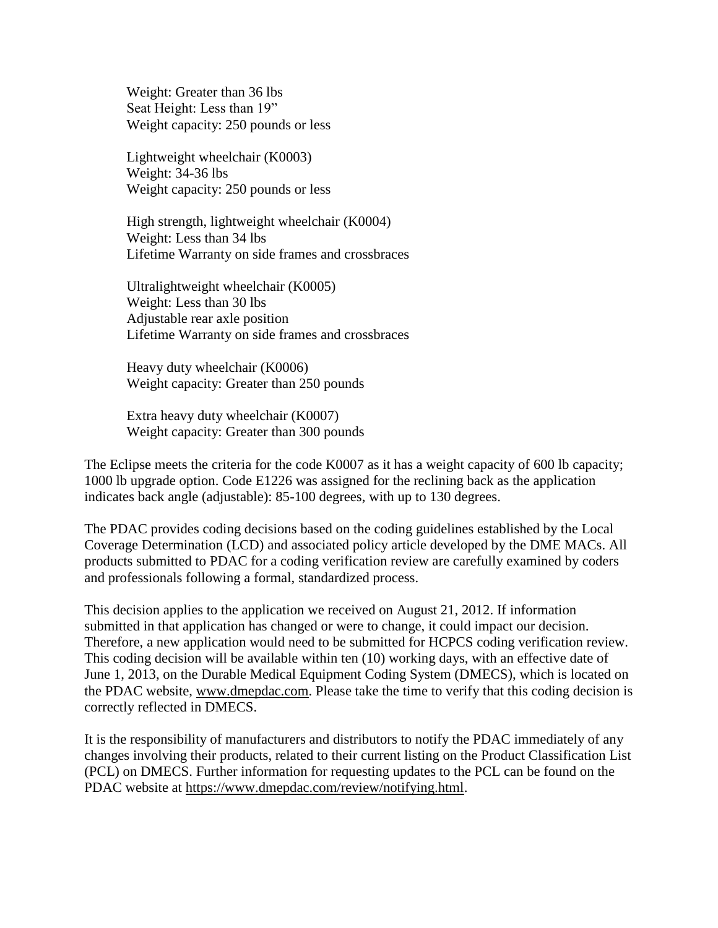Weight: Greater than 36 lbs Seat Height: Less than 19" Weight capacity: 250 pounds or less

Lightweight wheelchair (K0003) Weight: 34-36 lbs Weight capacity: 250 pounds or less

High strength, lightweight wheelchair (K0004) Weight: Less than 34 lbs Lifetime Warranty on side frames and crossbraces

Ultralightweight wheelchair (K0005) Weight: Less than 30 lbs Adjustable rear axle position Lifetime Warranty on side frames and crossbraces

Heavy duty wheelchair (K0006) Weight capacity: Greater than 250 pounds

Extra heavy duty wheelchair (K0007) Weight capacity: Greater than 300 pounds

The Eclipse meets the criteria for the code K0007 as it has a weight capacity of 600 lb capacity; 1000 lb upgrade option. Code E1226 was assigned for the reclining back as the application indicates back angle (adjustable): 85-100 degrees, with up to 130 degrees.

The PDAC provides coding decisions based on the coding guidelines established by the Local Coverage Determination (LCD) and associated policy article developed by the DME MACs. All products submitted to PDAC for a coding verification review are carefully examined by coders and professionals following a formal, standardized process.

This decision applies to the application we received on August 21, 2012. If information submitted in that application has changed or were to change, it could impact our decision. Therefore, a new application would need to be submitted for HCPCS coding verification review. This coding decision will be available within ten (10) working days, with an effective date of June 1, 2013, on the Durable Medical Equipment Coding System (DMECS), which is located on the PDAC website, www.dmepdac.com. Please take the time to verify that this coding decision is correctly reflected in DMECS.

It is the responsibility of manufacturers and distributors to notify the PDAC immediately of any changes involving their products, related to their current listing on the Product Classification List (PCL) on DMECS. Further information for requesting updates to the PCL can be found on the PDAC website at https://www.dmepdac.com/review/notifying.html.